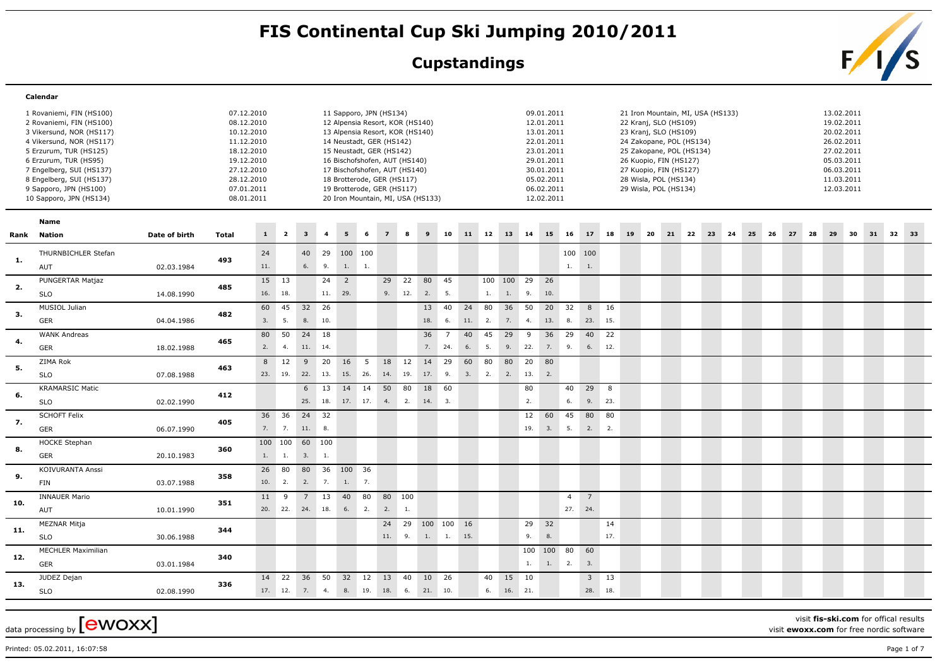## FIS Continental Cup Ski Jumping 2010/2011<br>Cupstandings<br>Family S

## **Cupstandings**



|     | Calendar                  |               |              |     |                |                 |                |                |     |                                   |                 |            |                |     |    |            |     |            |                |                |        |                                   |    |       |       |  |       |    |    |            |    |          |  |
|-----|---------------------------|---------------|--------------|-----|----------------|-----------------|----------------|----------------|-----|-----------------------------------|-----------------|------------|----------------|-----|----|------------|-----|------------|----------------|----------------|--------|-----------------------------------|----|-------|-------|--|-------|----|----|------------|----|----------|--|
|     | 1 Rovaniemi, FIN (HS100)  |               | 07.12.2010   |     |                |                 |                |                |     | 11 Sapporo, JPN (HS134)           |                 |            |                |     |    |            |     | 09.01.2011 |                |                |        | 21 Iron Mountain, MI, USA (HS133) |    |       |       |  |       |    |    | 13.02.2011 |    |          |  |
|     | 2 Rovaniemi, FIN (HS100)  |               | 08.12.2010   |     |                |                 |                |                |     | 12 Alpensia Resort, KOR (HS140)   |                 |            |                |     |    |            |     | 12.01.2011 |                |                |        | 22 Kranj, SLO (HS109)             |    |       |       |  |       |    |    | 19.02.2011 |    |          |  |
|     | 3 Vikersund, NOR (HS117)  |               | 10.12.2010   |     |                |                 |                |                |     | 13 Alpensia Resort, KOR (HS140)   |                 |            |                |     |    |            |     | 13.01.2011 |                |                |        | 23 Kranj, SLO (HS109)             |    |       |       |  |       |    |    | 20.02.2011 |    |          |  |
|     | 4 Vikersund, NOR (HS117)  |               | 11.12.2010   |     |                |                 |                |                |     | 14 Neustadt, GER (HS142)          |                 |            |                |     |    |            |     | 22.01.2011 |                |                |        | 24 Zakopane, POL (HS134)          |    |       |       |  |       |    |    | 26.02.2011 |    |          |  |
|     | 5 Erzurum, TUR (HS125)    |               | 18.12.2010   |     |                |                 |                |                |     | 15 Neustadt, GER (HS142)          |                 |            |                |     |    |            |     | 23.01.2011 |                |                |        | 25 Zakopane, POL (HS134)          |    |       |       |  |       |    |    | 27.02.2011 |    |          |  |
|     | 6 Erzurum, TUR (HS95)     |               | 19.12.2010   |     |                |                 |                |                |     | 16 Bischofshofen, AUT (HS140)     |                 |            |                |     |    |            |     | 29.01.2011 |                |                |        | 26 Kuopio, FIN (HS127)            |    |       |       |  |       |    |    | 05.03.2011 |    |          |  |
|     | 7 Engelberg, SUI (HS137)  |               | 27.12.2010   |     |                |                 |                |                |     | 17 Bischofshofen, AUT (HS140)     |                 |            |                |     |    |            |     | 30.01.2011 |                |                |        | 27 Kuopio, FIN (HS127)            |    |       |       |  |       |    |    | 06.03.2011 |    |          |  |
|     | 8 Engelberg, SUI (HS137)  |               | 28.12.2010   |     |                |                 |                |                |     | 18 Brotterode, GER (HS117)        |                 |            |                |     |    |            |     | 05.02.2011 |                |                |        | 28 Wisla, POL (HS134)             |    |       |       |  |       |    |    | 11.03.2011 |    |          |  |
|     | 9 Sapporo, JPN (HS100)    |               | 07.01.2011   |     |                |                 |                |                |     | 19 Brotterode, GER (HS117)        |                 |            |                |     |    |            |     | 06.02.2011 |                |                |        | 29 Wisla, POL (HS134)             |    |       |       |  |       |    |    | 12.03.2011 |    |          |  |
|     | 10 Sapporo, JPN (HS134)   |               | 08.01.2011   |     |                |                 |                |                |     | 20 Iron Mountain, MI, USA (HS133) |                 |            |                |     |    |            |     | 12.02.2011 |                |                |        |                                   |    |       |       |  |       |    |    |            |    |          |  |
|     | Name                      |               |              |     |                |                 |                |                |     |                                   |                 |            |                |     |    |            |     |            |                |                |        |                                   |    |       |       |  |       |    |    |            |    |          |  |
|     | Rank Nation               | Date of birth | <b>Total</b> | 1   | $\overline{2}$ | 3 <sup>1</sup>  | $\overline{4}$ | 5 <sub>1</sub> | - 6 | $\overline{7}$                    | 8               | 9          | 10             | 11  | 12 | 13 14      |     | 15         | 16             | 17             | 18     | 19                                | 20 | 21 22 | 23 24 |  | 25 26 | 27 | 28 | 29         | 30 | 31 32 33 |  |
|     |                           |               |              |     |                |                 |                |                |     |                                   |                 |            |                |     |    |            |     |            |                |                |        |                                   |    |       |       |  |       |    |    |            |    |          |  |
| 1.  | THURNBICHLER Stefan       |               | 493          | 24  |                | 40              |                | 29 100 100     |     |                                   |                 |            |                |     |    |            |     |            |                | 100 100        |        |                                   |    |       |       |  |       |    |    |            |    |          |  |
|     | AUT                       | 02.03.1984    |              | 11. |                | 6.              | 9.             | $1. \qquad 1.$ |     |                                   |                 |            |                |     |    |            |     |            | 1.             | 1.             |        |                                   |    |       |       |  |       |    |    |            |    |          |  |
| 2.  | PUNGERTAR Matjaz          |               | 485          | 15  | 13             |                 | 24             | $\overline{2}$ |     | 29                                | $\overline{22}$ | 80         | 45             |     |    | 100 100 29 |     | 26         |                |                |        |                                   |    |       |       |  |       |    |    |            |    |          |  |
|     | <b>SLO</b>                | 14.08.1990    |              | 16. | 18.            |                 | 11. 29.        |                |     |                                   | 9. 12.          | 2.         | 5.             |     | 1. | 1.         | 9.  | 10.        |                |                |        |                                   |    |       |       |  |       |    |    |            |    |          |  |
| 3.  | MUSIOL Julian             |               | 482          | 60  | 45             | 32              | 26             |                |     |                                   |                 | 13         | 40             | 24  | 80 | 36         | 50  | 20 32      |                |                | 8 16   |                                   |    |       |       |  |       |    |    |            |    |          |  |
|     | <b>GER</b>                | 04.04.1986    |              | 3.  | 5.             | 8.              | 10.            |                |     |                                   |                 | 18.        | 6.             | 11. | 2. | 7.         | 4.  | 13. 8.     |                | 23. 15.        |        |                                   |    |       |       |  |       |    |    |            |    |          |  |
|     | <b>WANK Andreas</b>       |               |              | 80  | 50             | 24 18           |                |                |     |                                   |                 | 36         | $\overline{7}$ | 40  | 45 | 29         | 9   | 36 29      |                | 40 22          |        |                                   |    |       |       |  |       |    |    |            |    |          |  |
| 4.  | GER                       | 18.02.1988    | 465          | 2.  | 4.             | 11.             | 14.            |                |     |                                   |                 | 7.         | 24.            | 6.  | 5. | 9.         | 22. | 7.         | 9.             | 6.             | 12.    |                                   |    |       |       |  |       |    |    |            |    |          |  |
|     | ZIMA Rok                  |               |              | 8   | 12             | 9               | 20             | 16             | 5   | 18                                | 12              | 14         | 29             | 60  | 80 | 80         | 20  | 80         |                |                |        |                                   |    |       |       |  |       |    |    |            |    |          |  |
| 5.  | <b>SLO</b>                | 07.08.1988    | 463          | 23. | 19.            | 22.             | 13.            | 15.            | 26. | 14.                               | 19.             | 17.        | 9.             | 3.  | 2. | 2.         | 13. | 2.         |                |                |        |                                   |    |       |       |  |       |    |    |            |    |          |  |
|     | <b>KRAMARSIC Matic</b>    |               |              |     |                | 6               | 13             | 14             | 14  | 50                                | 80              | 18         | 60             |     |    |            | 80  |            | 40             | $29$ 8         |        |                                   |    |       |       |  |       |    |    |            |    |          |  |
| 6.  | <b>SLO</b>                | 02.02.1990    | 412          |     |                | 25.             | 18.            |                |     | 17. 17. 4. 2.                     |                 | 14.        | 3.             |     |    |            | 2.  |            | 6.             | 9.             | 23.    |                                   |    |       |       |  |       |    |    |            |    |          |  |
|     | <b>SCHOFT Felix</b>       |               |              | 36  | 36             | 24 32           |                |                |     |                                   |                 |            |                |     |    |            | 12  | 60         | 45             | 80 80          |        |                                   |    |       |       |  |       |    |    |            |    |          |  |
| 7.  | GER                       | 06.07.1990    | 405          | 7.  | 7.             | 11.             | 8.             |                |     |                                   |                 |            |                |     |    |            | 19. | 3.         | 5.             | 2.             | 2.     |                                   |    |       |       |  |       |    |    |            |    |          |  |
|     |                           |               |              |     |                |                 |                |                |     |                                   |                 |            |                |     |    |            |     |            |                |                |        |                                   |    |       |       |  |       |    |    |            |    |          |  |
| 8.  | <b>HOCKE Stephan</b>      |               | 360          |     | 100 100 60 100 |                 |                |                |     |                                   |                 |            |                |     |    |            |     |            |                |                |        |                                   |    |       |       |  |       |    |    |            |    |          |  |
|     | <b>GER</b>                | 20.10.1983    |              | 1.  | 1.             | 3.              | 1.             |                |     |                                   |                 |            |                |     |    |            |     |            |                |                |        |                                   |    |       |       |  |       |    |    |            |    |          |  |
|     | <b>KOIVURANTA Anssi</b>   |               |              | 26  | 80             | 80              | 36 100 36      |                |     |                                   |                 |            |                |     |    |            |     |            |                |                |        |                                   |    |       |       |  |       |    |    |            |    |          |  |
| 9.  | FIN                       | 03.07.1988    | 358          | 10. | 2.             | 2.              | 7.             | 1.             | 7.  |                                   |                 |            |                |     |    |            |     |            |                |                |        |                                   |    |       |       |  |       |    |    |            |    |          |  |
|     |                           |               |              |     |                |                 |                |                |     |                                   |                 |            |                |     |    |            |     |            |                |                |        |                                   |    |       |       |  |       |    |    |            |    |          |  |
| 10. | <b>INNAUER Mario</b>      |               | 351          | 11  | 9              | $7\overline{ }$ | 13             | 40             | 80  | 80 100                            |                 |            |                |     |    |            |     |            | $\overline{4}$ | $\overline{7}$ |        |                                   |    |       |       |  |       |    |    |            |    |          |  |
|     | AUT                       | 10.01.1990    |              | 20. | 22.            | 24.             | 18.            | 6.             | 2.  | 2.                                | $\mathbf{1}$ .  |            |                |     |    |            |     |            | 27. 24.        |                |        |                                   |    |       |       |  |       |    |    |            |    |          |  |
|     | <b>MEZNAR Mitja</b>       |               |              |     |                |                 |                |                |     |                                   | 24 29           | 100 100 16 |                |     |    |            |     | 29 32      |                |                | 14     |                                   |    |       |       |  |       |    |    |            |    |          |  |
| 11. | <b>SLO</b>                | 30.06.1988    | 344          |     |                |                 |                |                |     | 11. 9.                            |                 | 1.         | 1.             | 15. |    |            | 9.  | 8.         |                |                | 17.    |                                   |    |       |       |  |       |    |    |            |    |          |  |
|     | <b>MECHLER Maximilian</b> |               |              |     |                |                 |                |                |     |                                   |                 |            |                |     |    |            | 100 | 100 80     |                | 60             |        |                                   |    |       |       |  |       |    |    |            |    |          |  |
| 12. | <b>GER</b>                | 03.01.1984    | 340          |     |                |                 |                |                |     |                                   |                 |            |                |     |    |            | 1.  | 1.         | 2.             | 3.             |        |                                   |    |       |       |  |       |    |    |            |    |          |  |
|     | JUDEZ Dejan               |               |              | 14  | 22             | 36 50           |                | 32 12          |     | 13                                | 40              | 10 26      |                |     | 40 | 15 10      |     |            |                |                | $3$ 13 |                                   |    |       |       |  |       |    |    |            |    |          |  |
| 13. |                           |               | 336          |     | 17. 12.        | 7.4.            |                |                |     | 8. 19. 18. 6. 21. 10.             |                 |            |                |     | 6. | 16. 21.    |     |            |                | 28. 18.        |        |                                   |    |       |       |  |       |    |    |            |    |          |  |
|     | <b>SLO</b>                | 02.08.1990    |              |     |                |                 |                |                |     |                                   |                 |            |                |     |    |            |     |            |                |                |        |                                   |    |       |       |  |       |    |    |            |    |          |  |

data processing by  ${\rm [ewoxx]}$ 

visit **fis-ski.com** for offical results

visit **ewoxx.com** for free nordic software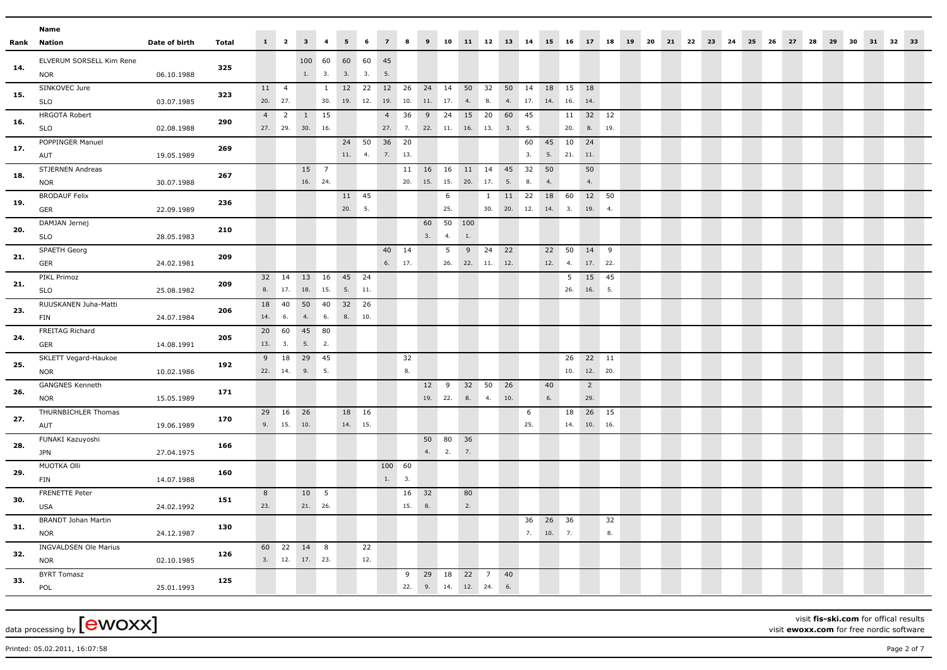|      | Name                                          |               |       |           |                           |                                     |                     |                   |             |                                               |                            |                             |                 |          |                            |               |                  |           |              |                       |        |  |  |                         |  |       |    |    |       |    |  |
|------|-----------------------------------------------|---------------|-------|-----------|---------------------------|-------------------------------------|---------------------|-------------------|-------------|-----------------------------------------------|----------------------------|-----------------------------|-----------------|----------|----------------------------|---------------|------------------|-----------|--------------|-----------------------|--------|--|--|-------------------------|--|-------|----|----|-------|----|--|
| Rank | Nation                                        | Date of birth | Total |           |                           | $1 \quad 2 \quad 3 \quad 4$         |                     | $5-1$             | 6           | $\overline{7}$                                | $\overline{\phantom{a}}$ 8 |                             |                 |          | 9 10 11 12 13 14           |               |                  |           | 15 16        | 17 18                 |        |  |  | 19 20 21 22 23 24 25 26 |  | 27 28 | 29 | 30 | 31 32 | 33 |  |
| 14.  | ELVERUM SORSELL Kim Rene<br><b>NOR</b>        | 06.10.1988    | 325   |           |                           | 100 60                              | 1. 3.               | 60 60 45<br>3. 3. |             | 5.                                            |                            |                             |                 |          |                            |               |                  |           |              |                       |        |  |  |                         |  |       |    |    |       |    |  |
| 15.  | SINKOVEC Jure<br><b>SLO</b>                   | 03.07.1985    | 323   |           | 11 4<br>20. 27.           |                                     | $\mathbf{1}$<br>30. |                   | 12 22       | 12 26<br>19. 12. 19.                          | 10.                        | 11. 17.                     |                 |          | 24 14 50 32 50 14<br>4. 8. |               | 4. 17.           | 18<br>14. | 15<br>16.    | 18<br>14.             |        |  |  |                         |  |       |    |    |       |    |  |
| 16.  | <b>HRGOTA Robert</b><br><b>SLO</b>            | 02.08.1988    | 290   | 4         | $\overline{2}$<br>27. 29. | 1 15<br>30. 16.                     |                     |                   |             | $\overline{4}$                                | 36                         | 9<br>27. 7. 22. 11. 16. 13. | 24              | 15 20    |                            | 60<br>3.      | 45<br>5.         |           | 11<br>20.    | 32 12                 | 8. 19. |  |  |                         |  |       |    |    |       |    |  |
| 17.  | POPPINGER Manuel<br>AUT                       | 19.05.1989    | 269   |           |                           |                                     |                     |                   | 24 50       | 36 20<br>$11. \qquad 4. \qquad 7. \qquad 13.$ |                            |                             |                 |          |                            |               | 60<br>3.         | 45        | 10<br>5. 21. | 24<br>11.             |        |  |  |                         |  |       |    |    |       |    |  |
| 18.  | STJERNEN Andreas<br><b>NOR</b>                | 30.07.1988    | 267   |           |                           | 16. 24.                             | 15 7                |                   |             |                                               |                            | 20. 15. 15.                 |                 | 20. 17.  | 11  16  16  11  14  45     | 5.            | 32<br>8.         | 50<br>4.  |              | 50<br>4.              |        |  |  |                         |  |       |    |    |       |    |  |
| 19.  | <b>BRODAUF Felix</b><br>GER                   | 22.09.1989    | 236   |           |                           |                                     |                     | 20.               | 11 45<br>5. |                                               |                            |                             | 6<br>25.        |          | $\mathbf{1}$               | 11<br>30. 20. | 22<br>12. 14. 3. | 18        | 60           | 19. 4.                | 12 50  |  |  |                         |  |       |    |    |       |    |  |
| 20.  | DAMJAN Jernej<br>SLO                          | 28.05.1983    | 210   |           |                           |                                     |                     |                   |             |                                               |                            | 3.                          | 60 50 100<br>4. | $1.$     |                            |               |                  |           |              |                       |        |  |  |                         |  |       |    |    |       |    |  |
| 21.  | SPAETH Georg<br><b>GER</b>                    | 24.02.1981    | 209   |           |                           |                                     |                     |                   |             | 40 14                                         | 6. 17.                     |                             | 5<br>26.        | 9        | 24<br>22. 11. 12.          | 22            |                  | 22<br>12. | 50<br>4.     | 14 9<br>17. 22.       |        |  |  |                         |  |       |    |    |       |    |  |
| 21.  | PIKL Primoz<br><b>SLO</b>                     | 25.08.1982    | 209   |           |                           | 32  14  13  16<br>8. 17. 18. 15. 5. |                     | 45 24             | 11.         |                                               |                            |                             |                 |          |                            |               |                  |           | 5<br>26.     | 16. 5.                | 15 45  |  |  |                         |  |       |    |    |       |    |  |
| 23.  | RUUSKANEN Juha-Matti<br>FIN                   | 24.07.1984    | 206   | 18<br>14. | 40<br>6.                  | 50 40<br>4.                         | 6.                  | 32 26<br>8.       | 10.         |                                               |                            |                             |                 |          |                            |               |                  |           |              |                       |        |  |  |                         |  |       |    |    |       |    |  |
| 24.  | FREITAG Richard<br>GER                        | 14.08.1991    | 205   |           | 20 60<br>13. 3.           | 45 80<br>5. 2.                      |                     |                   |             |                                               |                            |                             |                 |          |                            |               |                  |           |              |                       |        |  |  |                         |  |       |    |    |       |    |  |
| 25.  | SKLETT Vegard-Haukoe<br><b>NOR</b>            | 10.02.1986    | 192   | 9         | 18<br>22. 14.             | 29 45<br>9.                         | 5.                  |                   |             |                                               | 32<br>8.                   |                             |                 |          |                            |               |                  |           | 26<br>10.    | 12. 20.               | 22 11  |  |  |                         |  |       |    |    |       |    |  |
| 26.  | <b>GANGNES Kenneth</b><br><b>NOR</b>          | 15.05.1989    | 171   |           |                           |                                     |                     |                   |             |                                               |                            | 12 9                        | 19. 22.         | 32 50    | 8. 4.                      | 26<br>10.     |                  | 40<br>6.  |              | $\overline{2}$<br>29. |        |  |  |                         |  |       |    |    |       |    |  |
| 27.  | THURNBICHLER Thomas<br>AUT                    | 19.06.1989    | 170   |           | 29  16  26<br>9. 15.      | 10.                                 |                     | 18 16<br>14. 15.  |             |                                               |                            |                             |                 |          |                            |               | 6<br>25.         |           | 18<br>14.    | 26 15<br>10. 16.      |        |  |  |                         |  |       |    |    |       |    |  |
| 28.  | FUNAKI Kazuyoshi<br><b>JPN</b><br>MUOTKA Olli | 27.04.1975    | 166   |           |                           |                                     |                     |                   |             | 100 60                                        |                            |                             | 50 80<br>4. 2.  | 36<br>7. |                            |               |                  |           |              |                       |        |  |  |                         |  |       |    |    |       |    |  |
| 29.  | <b>FIN</b><br>FRENETTE Peter                  | 14.07.1988    | 160   | 8         |                           | 10 5                                |                     |                   |             | 1. 3.                                         |                            | 16 32                       |                 | 80       |                            |               |                  |           |              |                       |        |  |  |                         |  |       |    |    |       |    |  |
| 30.  | <b>USA</b><br><b>BRANDT Johan Martin</b>      | 24.02.1992    | 151   | 23.       |                           | 21. 26.                             |                     |                   |             |                                               | 15. 8.                     |                             |                 | 2.       |                            |               | 36               | 26        | 36           |                       | 32     |  |  |                         |  |       |    |    |       |    |  |
| 31.  | <b>NOR</b><br><b>INGVALDSEN Ole Marius</b>    | 24.12.1987    | 130   |           |                           | 60 22 14 8                          |                     |                   | 22          |                                               |                            |                             |                 |          |                            |               |                  | 7. 10.    | 7.           |                       | 8.     |  |  |                         |  |       |    |    |       |    |  |
| 32.  | <b>NOR</b><br><b>BYRT Tomasz</b>              | 02.10.1985    | 126   |           |                           | 3. 12. 17. 23.                      |                     |                   | 12.         |                                               | 9                          | 29 18                       |                 | 22       | $\overline{7}$             | 40            |                  |           |              |                       |        |  |  |                         |  |       |    |    |       |    |  |
| 33.  | POL                                           | 25.01.1993    | 125   |           |                           |                                     |                     |                   |             |                                               |                            |                             |                 |          | 22. 9. 14. 12. 24.         | 6.            |                  |           |              |                       |        |  |  |                         |  |       |    |    |       |    |  |

visit **fis-ski.com** for offical results visit **ewoxx.com** for free nordic software

Printed: 05.02.2011, 16:07:58 Page 2 of 7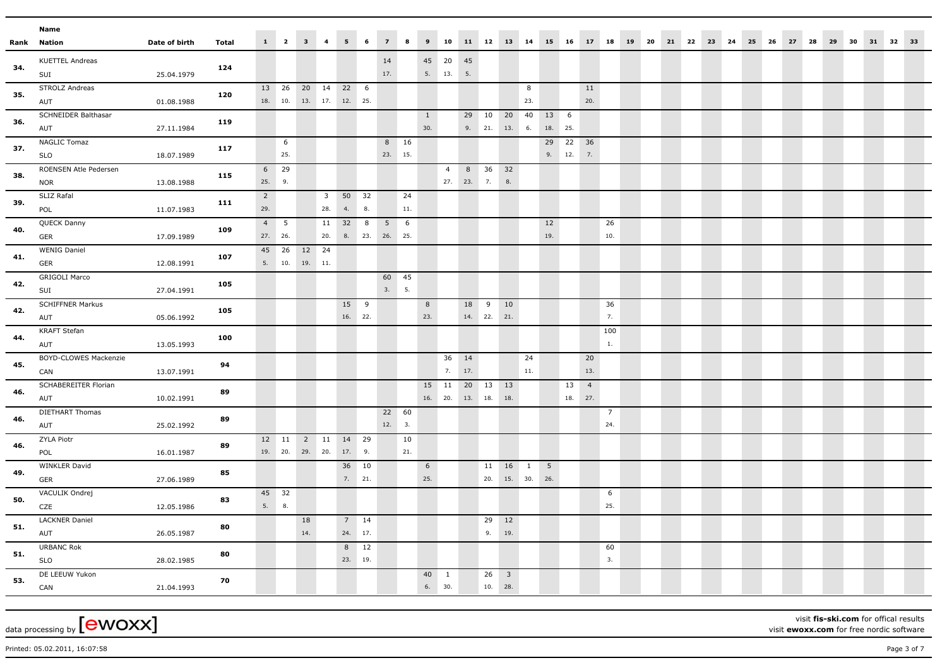|      | Name                                |               |              |                 |             |                                |                         |                |                |                |     |              |                |                        |                   |            |                 |                 |        |                |                |  |  |                         |  |       |       |          |  |
|------|-------------------------------------|---------------|--------------|-----------------|-------------|--------------------------------|-------------------------|----------------|----------------|----------------|-----|--------------|----------------|------------------------|-------------------|------------|-----------------|-----------------|--------|----------------|----------------|--|--|-------------------------|--|-------|-------|----------|--|
| Rank | Nation                              | Date of birth | <b>Total</b> |                 |             | $1 \qquad 2 \qquad 3 \qquad 4$ |                         | 5 <sup>1</sup> | 6              | $\overline{7}$ | 8   |              |                | 9 10 11 12 13 14 15 16 |                   |            |                 |                 |        | 17 18          |                |  |  | 19 20 21 22 23 24 25 26 |  | 27 28 | 29 30 | 31 32 33 |  |
|      | <b>KUETTEL Andreas</b>              |               |              |                 |             |                                |                         |                |                | 14             |     |              | 45 20 45       |                        |                   |            |                 |                 |        |                |                |  |  |                         |  |       |       |          |  |
| 34.  | SUI                                 | 25.04.1979    | 124          |                 |             |                                |                         |                |                | 17.            |     |              | 5. 13.         | 5.                     |                   |            |                 |                 |        |                |                |  |  |                         |  |       |       |          |  |
| 35.  | <b>STROLZ Andreas</b>               |               | 120          |                 | 13 26       | 20 14 22 6                     |                         |                |                |                |     |              |                |                        |                   |            | 8               |                 |        | 11             |                |  |  |                         |  |       |       |          |  |
|      | AUT                                 | 01.08.1988    |              |                 | 18. 10.     | 13. 17. 12. 25.                |                         |                |                |                |     |              |                |                        |                   |            | 23.             |                 |        | 20.            |                |  |  |                         |  |       |       |          |  |
| 36.  | <b>SCHNEIDER Balthasar</b>          |               | 119          |                 |             |                                |                         |                |                |                |     | $\mathbf{1}$ |                | 29                     | 10                | 20         | 40              | 13 6            |        |                |                |  |  |                         |  |       |       |          |  |
|      | AUT                                 | 27.11.1984    |              |                 |             |                                |                         |                |                |                |     | 30.          |                |                        |                   | 9. 21. 13. | 6.              | 18. 25.         |        |                |                |  |  |                         |  |       |       |          |  |
| 37.  | <b>NAGLIC Tomaz</b>                 |               | 117          |                 | 6           |                                |                         |                |                | 8 16           |     |              |                |                        |                   |            |                 | 29              | 22     | 36             |                |  |  |                         |  |       |       |          |  |
|      | <b>SLO</b>                          | 18.07.1989    |              |                 | 25.         |                                |                         |                |                | 23. 15.        |     |              |                |                        |                   |            |                 |                 | 9. 12. | 7.             |                |  |  |                         |  |       |       |          |  |
| 38.  | ROENSEN Atle Pedersen               |               | 115          | $6\overline{6}$ | 29          |                                |                         |                |                |                |     |              | $\overline{4}$ |                        | 8 36 32           |            |                 |                 |        |                |                |  |  |                         |  |       |       |          |  |
|      | <b>NOR</b>                          | 13.08.1988    |              | 25.             | 9.          |                                |                         |                |                |                |     |              |                | 27. 23. 7.             |                   | 8.         |                 |                 |        |                |                |  |  |                         |  |       |       |          |  |
| 39.  | SLIZ Rafal                          |               | 111          | $\overline{2}$  |             |                                | $\overline{\mathbf{3}}$ | 50 32          |                |                | 24  |              |                |                        |                   |            |                 |                 |        |                |                |  |  |                         |  |       |       |          |  |
|      | POL                                 | 11.07.1983    |              | 29.             |             |                                | 28.                     | 4.             | 8.             |                | 11. |              |                |                        |                   |            |                 |                 |        |                |                |  |  |                         |  |       |       |          |  |
| 40.  | QUECK Danny                         |               | 109          | 4               | $5^{\circ}$ |                                | 11                      | 32             | 8              | $5 \t 6$       |     |              |                |                        |                   |            |                 | 12              |        |                | 26             |  |  |                         |  |       |       |          |  |
|      | GER                                 | 17.09.1989    |              |                 | 27. 26.     |                                | 20.                     |                | 8. 23. 26. 25. |                |     |              |                |                        |                   |            |                 | 19.             |        |                | 10.            |  |  |                         |  |       |       |          |  |
| 41.  | <b>WENIG Daniel</b>                 |               | 107          |                 | 45 26       | 12 24                          |                         |                |                |                |     |              |                |                        |                   |            |                 |                 |        |                |                |  |  |                         |  |       |       |          |  |
|      | GER                                 | 12.08.1991    |              |                 | 5. 10.      | 19. 11.                        |                         |                |                |                |     |              |                |                        |                   |            |                 |                 |        |                |                |  |  |                         |  |       |       |          |  |
| 42.  | <b>GRIGOLI Marco</b>                |               | 105          |                 |             |                                |                         |                |                | 60 45          |     |              |                |                        |                   |            |                 |                 |        |                |                |  |  |                         |  |       |       |          |  |
|      | SUI                                 | 27.04.1991    |              |                 |             |                                |                         |                |                | 3. 5.          |     |              |                |                        |                   |            |                 |                 |        |                |                |  |  |                         |  |       |       |          |  |
| 42.  | <b>SCHIFFNER Markus</b>             |               | 105          |                 |             |                                |                         | 15 9           | 16. 22.        |                |     | 8<br>23.     |                | 18                     | 9<br>14. 22. 21.  | 10         |                 |                 |        |                | 36<br>7.       |  |  |                         |  |       |       |          |  |
|      | AUT                                 | 05.06.1992    |              |                 |             |                                |                         |                |                |                |     |              |                |                        |                   |            |                 |                 |        |                |                |  |  |                         |  |       |       |          |  |
| 44.  | KRAFT Stefan                        |               | 100          |                 |             |                                |                         |                |                |                |     |              |                |                        |                   |            |                 |                 |        |                | 100<br>1.      |  |  |                         |  |       |       |          |  |
|      | AUT                                 | 13.05.1993    |              |                 |             |                                |                         |                |                |                |     |              |                |                        |                   |            |                 |                 |        |                |                |  |  |                         |  |       |       |          |  |
| 45.  | <b>BOYD-CLOWES Mackenzie</b><br>CAN | 13.07.1991    | 94           |                 |             |                                |                         |                |                |                |     |              | 36<br>7. 17.   | 14                     |                   |            | 24<br>$11.$     |                 |        | 20<br>13.      |                |  |  |                         |  |       |       |          |  |
|      | SCHABEREITER Florian                |               |              |                 |             |                                |                         |                |                |                |     | 15 11        |                | 20 13 13               |                   |            |                 |                 | 13     | $\overline{4}$ |                |  |  |                         |  |       |       |          |  |
| 46.  | AUT                                 | 10.02.1991    | 89           |                 |             |                                |                         |                |                |                |     | 16. 20.      |                | 13. 18.                |                   | 18.        |                 |                 | 18.    | 27.            |                |  |  |                         |  |       |       |          |  |
|      | DIETHART Thomas                     |               |              |                 |             |                                |                         |                |                | 22 60          |     |              |                |                        |                   |            |                 |                 |        |                | $\overline{7}$ |  |  |                         |  |       |       |          |  |
| 46.  | AUT                                 | 25.02.1992    | 89           |                 |             |                                |                         |                |                | 12. 3.         |     |              |                |                        |                   |            |                 |                 |        |                | 24.            |  |  |                         |  |       |       |          |  |
|      | ZYLA Piotr                          |               |              |                 |             | 12 11 2 11                     |                         | 14 29          |                |                | 10  |              |                |                        |                   |            |                 |                 |        |                |                |  |  |                         |  |       |       |          |  |
| 46.  | POL                                 | 16.01.1987    | 89           |                 |             | 19. 20. 29. 20.                |                         | 17.            | 9.             |                | 21. |              |                |                        |                   |            |                 |                 |        |                |                |  |  |                         |  |       |       |          |  |
|      | WINKLER David                       |               |              |                 |             |                                |                         | 36 10          |                |                |     | 6            |                |                        |                   | 11 16      | $\mathbf{1}$    | $5\overline{5}$ |        |                |                |  |  |                         |  |       |       |          |  |
| 49.  | GER                                 | 27.06.1989    | 85           |                 |             |                                |                         |                | 7. 21.         |                |     | 25.          |                |                        |                   |            | 20. 15. 30. 26. |                 |        |                |                |  |  |                         |  |       |       |          |  |
|      | VACULIK Ondrej                      |               |              |                 | 45 32       |                                |                         |                |                |                |     |              |                |                        |                   |            |                 |                 |        |                | 6              |  |  |                         |  |       |       |          |  |
| 50.  | CZE                                 | 12.05.1986    | 83           | 5.              | 8.          |                                |                         |                |                |                |     |              |                |                        |                   |            |                 |                 |        |                | 25.            |  |  |                         |  |       |       |          |  |
|      | <b>LACKNER Daniel</b>               |               |              |                 |             | 18                             |                         |                | $7 \qquad 14$  |                |     |              |                |                        | 29 12             |            |                 |                 |        |                |                |  |  |                         |  |       |       |          |  |
| 51.  | AUT                                 | 26.05.1987    | 80           |                 |             | 14.                            |                         | 24. 17.        |                |                |     |              |                |                        | 9. 19.            |            |                 |                 |        |                |                |  |  |                         |  |       |       |          |  |
|      | <b>URBANC Rok</b>                   |               |              |                 |             |                                |                         |                | 8 12           |                |     |              |                |                        |                   |            |                 |                 |        |                | 60             |  |  |                         |  |       |       |          |  |
| 51.  | <b>SLO</b>                          | 28.02.1985    | 80           |                 |             |                                |                         | 23. 19.        |                |                |     |              |                |                        |                   |            |                 |                 |        |                | 3.             |  |  |                         |  |       |       |          |  |
|      | DE LEEUW Yukon                      |               |              |                 |             |                                |                         |                |                |                |     | 40           | $\mathbf{1}$   |                        | $26 \overline{3}$ |            |                 |                 |        |                |                |  |  |                         |  |       |       |          |  |
| 53.  | CAN                                 | 21.04.1993    | 70           |                 |             |                                |                         |                |                |                |     | 6. 30.       |                |                        | 10. 28.           |            |                 |                 |        |                |                |  |  |                         |  |       |       |          |  |
|      |                                     |               |              |                 |             |                                |                         |                |                |                |     |              |                |                        |                   |            |                 |                 |        |                |                |  |  |                         |  |       |       |          |  |

visit **fis-ski.com** for offical results visit **ewoxx.com** for free nordic software

Printed: 05.02.2011, 16:07:58 Page 3 of 7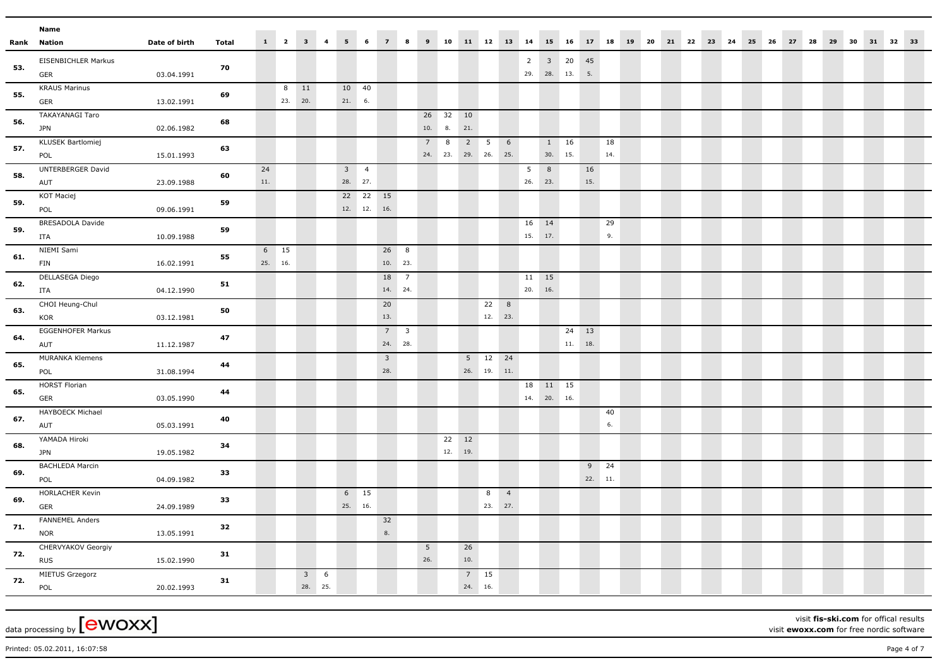|     | Name                                 |               |       |             |                 |                                |   |                          |                           |                                |   |                       |           |                          |                          |                |                |             |                            |              |           |  |  |  |  |  |                                                                         |  |  |  |
|-----|--------------------------------------|---------------|-------|-------------|-----------------|--------------------------------|---|--------------------------|---------------------------|--------------------------------|---|-----------------------|-----------|--------------------------|--------------------------|----------------|----------------|-------------|----------------------------|--------------|-----------|--|--|--|--|--|-------------------------------------------------------------------------|--|--|--|
|     | <b>Rank Nation</b>                   | Date of birth | Total |             |                 | $1 \qquad 2 \qquad 3 \qquad 4$ |   | 5 <sup>5</sup>           | 6                         | $\overline{7}$                 | 8 | $\mathbf{9}$          |           |                          |                          |                |                |             |                            |              |           |  |  |  |  |  | 10 11 12 13 14 15 16 17 18 19 20 21 22 23 24 25 26 27 28 29 30 31 32 33 |  |  |  |
| 53. | EISENBICHLER Markus<br>GER           | 03.04.1991    | 70    |             |                 |                                |   |                          |                           |                                |   |                       |           |                          |                          |                | $\overline{2}$ |             | $3\quad 20$<br>29. 28. 13. | 45<br>5.     |           |  |  |  |  |  |                                                                         |  |  |  |
| 55. | <b>KRAUS Marinus</b><br>GER          | 13.02.1991    | 69    |             | 8<br>23.        | 11<br>20.                      |   | 10 40<br>21. 6.          |                           |                                |   |                       |           |                          |                          |                |                |             |                            |              |           |  |  |  |  |  |                                                                         |  |  |  |
| 56. | <b>TAKAYANAGI Taro</b><br><b>JPN</b> | 02.06.1982    | 68    |             |                 |                                |   |                          |                           |                                |   | 10. 8.                | 26 32 10  | 21.                      |                          |                |                |             |                            |              |           |  |  |  |  |  |                                                                         |  |  |  |
| 57. | KLUSEK Bartlomiej<br>POL             | 15.01.1993    | 63    |             |                 |                                |   |                          |                           |                                |   | 7                     | 8         | 2<br>24. 23. 29. 26. 25. | 5                        | 6              |                |             | 1 16<br>30. 15.            |              | 18<br>14. |  |  |  |  |  |                                                                         |  |  |  |
| 58. | UNTERBERGER David<br>AUT             | 23.09.1988    | 60    | 24<br>$11.$ |                 |                                |   | $3 \quad 4$<br>28. 27.   |                           |                                |   |                       |           |                          |                          |                | 5<br>26.       | 8<br>23.    |                            | 16<br>15.    |           |  |  |  |  |  |                                                                         |  |  |  |
| 59. | KOT Maciej<br>POL                    | 09.06.1991    | 59    |             |                 |                                |   |                          | 22  22  15<br>12. 12. 16. |                                |   |                       |           |                          |                          |                |                |             |                            |              |           |  |  |  |  |  |                                                                         |  |  |  |
| 59. | BRESADOLA Davide<br>ITA              | 10.09.1988    | 59    |             |                 |                                |   |                          |                           |                                |   |                       |           |                          |                          |                | 15. 17.        | 16 14       |                            |              | 29<br>9.  |  |  |  |  |  |                                                                         |  |  |  |
| 61. | NIEMI Sami<br><b>FIN</b>             | 16.02.1991    | 55    |             | 6 15<br>25. 16. |                                |   |                          |                           | 26 8<br>10. 23.                |   |                       |           |                          |                          |                |                |             |                            |              |           |  |  |  |  |  |                                                                         |  |  |  |
| 62. | DELLASEGA Diego<br><b>ITA</b>        | 04.12.1990    | 51    |             |                 |                                |   |                          |                           | 18 7<br>14. 24.                |   |                       |           |                          |                          |                | 11<br>20. 16.  | 15          |                            |              |           |  |  |  |  |  |                                                                         |  |  |  |
| 63. | CHOI Heung-Chul<br>KOR               | 03.12.1981    | 50    |             |                 |                                |   |                          |                           | 20<br>13.                      |   |                       |           |                          | 22<br>12. 23.            | 8              |                |             |                            |              |           |  |  |  |  |  |                                                                         |  |  |  |
| 64. | EGGENHOFER Markus<br>AUT             | 11.12.1987    | 47    |             |                 |                                |   |                          |                           | $7 \quad 3$<br>24. 28.         |   |                       |           |                          |                          |                |                |             | 11.                        | 24 13<br>18. |           |  |  |  |  |  |                                                                         |  |  |  |
| 65. | <b>MURANKA Klemens</b><br>POL        | 31.08.1994    | 44    |             |                 |                                |   |                          |                           | $\overline{\mathbf{3}}$<br>28. |   |                       |           |                          | 5 12 24<br>$26.$ 19. 11. |                |                |             |                            |              |           |  |  |  |  |  |                                                                         |  |  |  |
| 65. | <b>HORST Florian</b><br>GER          | 03.05.1990    | 44    |             |                 |                                |   |                          |                           |                                |   |                       |           |                          |                          |                |                | 14. 20. 16. | 18  11  15                 |              |           |  |  |  |  |  |                                                                         |  |  |  |
| 67. | HAYBOECK Michael<br>AUT              | 05.03.1991    | 40    |             |                 |                                |   |                          |                           |                                |   |                       |           |                          |                          |                |                |             |                            |              | 40<br>6.  |  |  |  |  |  |                                                                         |  |  |  |
| 68. | YAMADA Hiroki<br><b>JPN</b>          | 19.05.1982    | 34    |             |                 |                                |   |                          |                           |                                |   |                       | 22<br>12. | 12<br>19.                |                          |                |                |             |                            |              |           |  |  |  |  |  |                                                                         |  |  |  |
| 69. | <b>BACHLEDA Marcin</b><br>POL        | 04.09.1982    | 33    |             |                 |                                |   |                          |                           |                                |   |                       |           |                          |                          |                |                |             |                            | 22. 11.      | $9$ 24    |  |  |  |  |  |                                                                         |  |  |  |
| 69. | HORLACHER Kevin<br>GER               | 24.09.1989    | 33    |             |                 |                                |   | $6 \qquad 15$<br>25. 16. |                           |                                |   |                       |           |                          | 8<br>23. 27.             | $\overline{4}$ |                |             |                            |              |           |  |  |  |  |  |                                                                         |  |  |  |
| 71. | FANNEMEL Anders<br><b>NOR</b>        | 13.05.1991    | 32    |             |                 |                                |   |                          |                           | 32<br>8.                       |   |                       |           |                          |                          |                |                |             |                            |              |           |  |  |  |  |  |                                                                         |  |  |  |
| 72. | CHERVYAKOV Georgiy<br><b>RUS</b>     | 15.02.1990    | 31    |             |                 |                                |   |                          |                           |                                |   | 5 <sub>5</sub><br>26. |           | 26<br>10.                |                          |                |                |             |                            |              |           |  |  |  |  |  |                                                                         |  |  |  |
| 72. | MIETUS Grzegorz<br>POL               | 20.02.1993    | 31    |             |                 | 3 <sup>7</sup><br>28. 25.      | 6 |                          |                           |                                |   |                       |           | $7 \qquad 15$<br>24. 16. |                          |                |                |             |                            |              |           |  |  |  |  |  |                                                                         |  |  |  |

visit **fis-ski.com** for offical results visit **ewoxx.com** for free nordic software

Printed: 05.02.2011, 16:07:58 Page 4 of 7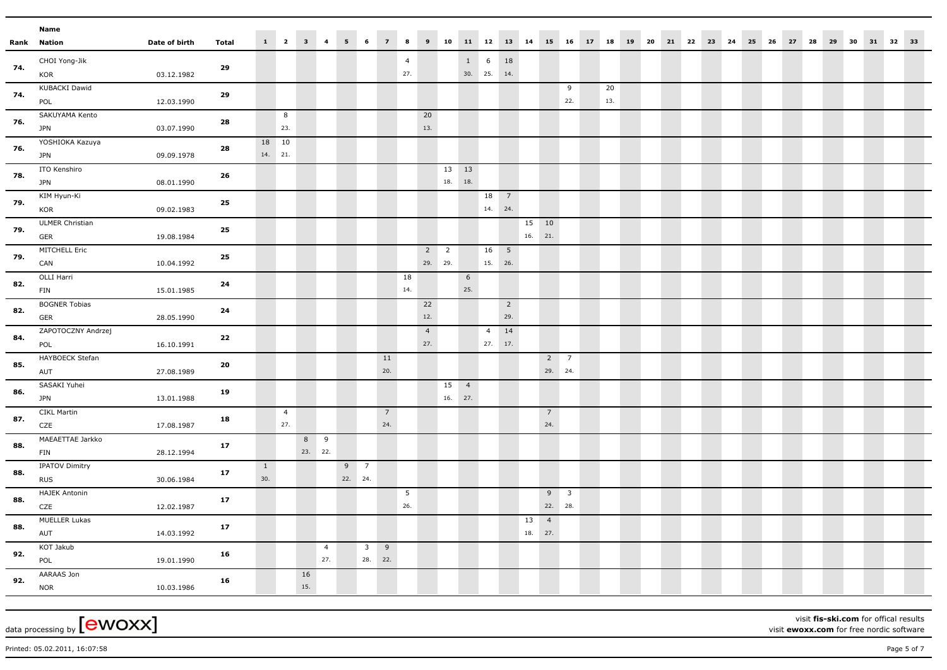|     | Name                       |               |              |              |                  |         |                       |                  |                                    |                                                                           |                |                |              |                |                |                |    |                |                           |     |  |  |  |  |                                                                           |  |  |  |
|-----|----------------------------|---------------|--------------|--------------|------------------|---------|-----------------------|------------------|------------------------------------|---------------------------------------------------------------------------|----------------|----------------|--------------|----------------|----------------|----------------|----|----------------|---------------------------|-----|--|--|--|--|---------------------------------------------------------------------------|--|--|--|
|     | Rank Nation                | Date of birth | <b>Total</b> |              |                  |         |                       |                  |                                    | $\begin{array}{cccccccccccccc} 1 & 2 & 3 & 4 & 5 & 6 & 7 & 8 \end{array}$ |                |                |              |                |                |                |    |                |                           |     |  |  |  |  | 9 10 11 12 13 14 15 16 17 18 19 20 21 22 23 24 25 26 27 28 29 30 31 32 33 |  |  |  |
| 74. | CHOI Yong-Jik              |               |              |              |                  |         |                       |                  |                                    |                                                                           | $\overline{4}$ |                |              |                | $1 \t 6$       | 18             |    |                |                           |     |  |  |  |  |                                                                           |  |  |  |
|     | KOR                        | 03.12.1982    | 29           |              |                  |         |                       |                  |                                    |                                                                           | 27.            |                |              |                | $30.$ 25. 14.  |                |    |                |                           |     |  |  |  |  |                                                                           |  |  |  |
| 74. | KUBACKI Dawid              |               | 29           |              |                  |         |                       |                  |                                    |                                                                           |                |                |              |                |                |                |    |                | 9                         | 20  |  |  |  |  |                                                                           |  |  |  |
|     | POL                        | 12.03.1990    |              |              |                  |         |                       |                  |                                    |                                                                           |                |                |              |                |                |                |    |                | 22.                       | 13. |  |  |  |  |                                                                           |  |  |  |
| 76. | SAKUYAMA Kento             |               | 28           |              | 8                |         |                       |                  |                                    |                                                                           |                | 20             |              |                |                |                |    |                |                           |     |  |  |  |  |                                                                           |  |  |  |
|     | <b>JPN</b>                 | 03.07.1990    |              |              | 23.              |         |                       |                  |                                    |                                                                           |                | 13.            |              |                |                |                |    |                |                           |     |  |  |  |  |                                                                           |  |  |  |
| 76. | YOSHIOKA Kazuya            |               | 28           |              | 18 10<br>14. 21. |         |                       |                  |                                    |                                                                           |                |                |              |                |                |                |    |                |                           |     |  |  |  |  |                                                                           |  |  |  |
|     | <b>JPN</b>                 | 09.09.1978    |              |              |                  |         |                       |                  |                                    |                                                                           |                |                |              |                |                |                |    |                |                           |     |  |  |  |  |                                                                           |  |  |  |
| 78. | ITO Kenshiro<br><b>JPN</b> | 08.01.1990    | 26           |              |                  |         |                       |                  |                                    |                                                                           |                |                | 13 13<br>18. | 18.            |                |                |    |                |                           |     |  |  |  |  |                                                                           |  |  |  |
|     | KIM Hyun-Ki                |               |              |              |                  |         |                       |                  |                                    |                                                                           |                |                |              |                | 18 7           |                |    |                |                           |     |  |  |  |  |                                                                           |  |  |  |
| 79. | KOR                        | 09.02.1983    | 25           |              |                  |         |                       |                  |                                    |                                                                           |                |                |              |                | 14. 24.        |                |    |                |                           |     |  |  |  |  |                                                                           |  |  |  |
|     | <b>ULMER Christian</b>     |               |              |              |                  |         |                       |                  |                                    |                                                                           |                |                |              |                |                |                |    | 15 10          |                           |     |  |  |  |  |                                                                           |  |  |  |
| 79. | GER                        | 19.08.1984    | 25           |              |                  |         |                       |                  |                                    |                                                                           |                |                |              |                |                |                |    | 16. 21.        |                           |     |  |  |  |  |                                                                           |  |  |  |
|     | MITCHELL Eric              |               |              |              |                  |         |                       |                  |                                    |                                                                           |                | $2 \quad 2$    |              |                | 16 5           |                |    |                |                           |     |  |  |  |  |                                                                           |  |  |  |
| 79. | CAN                        | 10.04.1992    | 25           |              |                  |         |                       |                  |                                    |                                                                           |                | 29. 29.        |              |                | 15. 26.        |                |    |                |                           |     |  |  |  |  |                                                                           |  |  |  |
| 82. | OLLI Harri                 |               | 24           |              |                  |         |                       |                  |                                    |                                                                           | 18             |                |              | 6              |                |                |    |                |                           |     |  |  |  |  |                                                                           |  |  |  |
|     | <b>FIN</b>                 | 15.01.1985    |              |              |                  |         |                       |                  |                                    |                                                                           | 14.            |                |              | 25.            |                |                |    |                |                           |     |  |  |  |  |                                                                           |  |  |  |
| 82. | <b>BOGNER Tobias</b>       |               | 24           |              |                  |         |                       |                  |                                    |                                                                           |                | 22             |              |                |                | $\overline{2}$ |    |                |                           |     |  |  |  |  |                                                                           |  |  |  |
|     | GER                        | 28.05.1990    |              |              |                  |         |                       |                  |                                    |                                                                           |                | 12.            |              |                |                | 29.            |    |                |                           |     |  |  |  |  |                                                                           |  |  |  |
| 84. | ZAPOTOCZNY Andrzej         |               | 22           |              |                  |         |                       |                  |                                    |                                                                           |                | $\overline{4}$ |              |                | $\overline{4}$ | 14             |    |                |                           |     |  |  |  |  |                                                                           |  |  |  |
|     | POL                        | 16.10.1991    |              |              |                  |         |                       |                  |                                    |                                                                           |                | 27.            |              |                | $27.$ 17.      |                |    |                |                           |     |  |  |  |  |                                                                           |  |  |  |
| 85. | HAYBOECK Stefan            |               | 20           |              |                  |         |                       |                  |                                    | 11<br>20.                                                                 |                |                |              |                |                |                |    | $2^{\circ}$    | $\overline{7}$<br>29. 24. |     |  |  |  |  |                                                                           |  |  |  |
|     | AUT<br>SASAKI Yuhei        | 27.08.1989    |              |              |                  |         |                       |                  |                                    |                                                                           |                |                | 15           | $\overline{4}$ |                |                |    |                |                           |     |  |  |  |  |                                                                           |  |  |  |
| 86. | <b>JPN</b>                 | 13.01.1988    | 19           |              |                  |         |                       |                  |                                    |                                                                           |                |                | 16.          | 27.            |                |                |    |                |                           |     |  |  |  |  |                                                                           |  |  |  |
|     | <b>CIKL Martin</b>         |               |              |              | $\overline{4}$   |         |                       |                  |                                    | $\overline{7}$                                                            |                |                |              |                |                |                |    | $\overline{7}$ |                           |     |  |  |  |  |                                                                           |  |  |  |
| 87. | CZE                        | 17.08.1987    | 18           |              | 27.              |         |                       |                  |                                    | 24.                                                                       |                |                |              |                |                |                |    | 24.            |                           |     |  |  |  |  |                                                                           |  |  |  |
|     | MAEAETTAE Jarkko           |               |              |              |                  | 8 9     |                       |                  |                                    |                                                                           |                |                |              |                |                |                |    |                |                           |     |  |  |  |  |                                                                           |  |  |  |
| 88. | FIN                        | 28.12.1994    | 17           |              |                  | 23. 22. |                       |                  |                                    |                                                                           |                |                |              |                |                |                |    |                |                           |     |  |  |  |  |                                                                           |  |  |  |
| 88. | IPATOV Dimitry             |               | $17\,$       | $\mathbf{1}$ |                  |         |                       | $9 \overline{7}$ |                                    |                                                                           |                |                |              |                |                |                |    |                |                           |     |  |  |  |  |                                                                           |  |  |  |
|     | <b>RUS</b>                 | 30.06.1984    |              | 30.          |                  |         |                       | 22. 24.          |                                    |                                                                           |                |                |              |                |                |                |    |                |                           |     |  |  |  |  |                                                                           |  |  |  |
| 88. | <b>HAJEK Antonin</b>       |               | 17           |              |                  |         |                       |                  |                                    |                                                                           | 5              |                |              |                |                |                |    |                | $9 \quad 3$               |     |  |  |  |  |                                                                           |  |  |  |
|     | CZE                        | 12.02.1987    |              |              |                  |         |                       |                  |                                    |                                                                           | 26.            |                |              |                |                |                |    |                | 22. 28.                   |     |  |  |  |  |                                                                           |  |  |  |
| 88. | MUELLER Lukas              |               | 17           |              |                  |         |                       |                  |                                    |                                                                           |                |                |              |                |                |                | 13 | $\overline{4}$ |                           |     |  |  |  |  |                                                                           |  |  |  |
|     | AUT                        | 14.03.1992    |              |              |                  |         |                       |                  |                                    |                                                                           |                |                |              |                |                |                |    | 18. 27.        |                           |     |  |  |  |  |                                                                           |  |  |  |
| 92. | KOT Jakub                  |               | 16           |              |                  |         | $\overline{4}$<br>27. |                  | $\overline{\mathbf{3}}$<br>28. 22. | 9                                                                         |                |                |              |                |                |                |    |                |                           |     |  |  |  |  |                                                                           |  |  |  |
|     | POL<br>AARAAS Jon          | 19.01.1990    |              |              |                  | 16      |                       |                  |                                    |                                                                           |                |                |              |                |                |                |    |                |                           |     |  |  |  |  |                                                                           |  |  |  |
| 92. | <b>NOR</b>                 | 10.03.1986    | 16           |              |                  | 15.     |                       |                  |                                    |                                                                           |                |                |              |                |                |                |    |                |                           |     |  |  |  |  |                                                                           |  |  |  |
|     |                            |               |              |              |                  |         |                       |                  |                                    |                                                                           |                |                |              |                |                |                |    |                |                           |     |  |  |  |  |                                                                           |  |  |  |

visit **fis-ski.com** for offical results visit **ewoxx.com** for free nordic software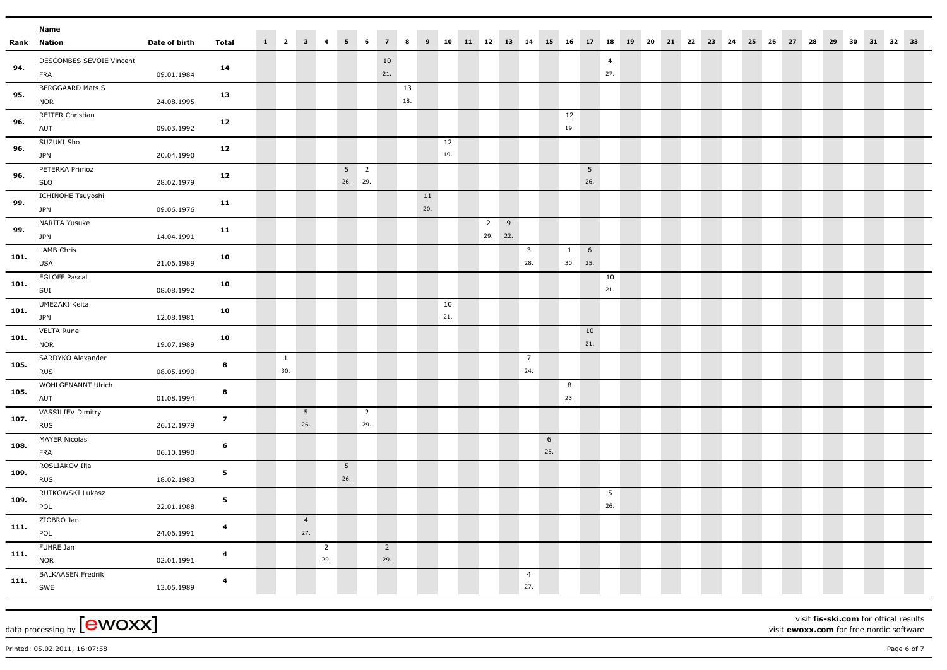|      | Name                                         |               |                         |                       |                 |                |                           |                          |                |           |           |           |                           |   |                                |                      |                        |                       |  |                         |  |  |       |    |    |          |  |  |
|------|----------------------------------------------|---------------|-------------------------|-----------------------|-----------------|----------------|---------------------------|--------------------------|----------------|-----------|-----------|-----------|---------------------------|---|--------------------------------|----------------------|------------------------|-----------------------|--|-------------------------|--|--|-------|----|----|----------|--|--|
|      | <b>Rank Nation</b>                           | Date of birth | <b>Total</b>            | $1 \qquad 2 \qquad 3$ |                 | $\overline{4}$ | 5                         | 6                        | $\overline{z}$ | 8         | 9         |           |                           |   |                                | 10 11 12 13 14 15 16 |                        | 17 18                 |  | 19 20 21 22 23 24 25 26 |  |  | 27 28 | 29 | 30 | 31 32 33 |  |  |
| 94.  | DESCOMBES SEVOIE Vincent<br>FRA              | 09.01.1984    | 14                      |                       |                 |                |                           |                          | 10<br>21.      |           |           |           |                           |   |                                |                      |                        | $\overline{4}$<br>27. |  |                         |  |  |       |    |    |          |  |  |
| 95.  | <b>BERGGAARD Mats S</b><br><b>NOR</b>        | 24.08.1995    | 13                      |                       |                 |                |                           |                          |                | 13<br>18. |           |           |                           |   |                                |                      |                        |                       |  |                         |  |  |       |    |    |          |  |  |
| 96.  | REITER Christian<br>AUT                      | 09.03.1992    | 12                      |                       |                 |                |                           |                          |                |           |           |           |                           |   |                                | 12<br>19.            |                        |                       |  |                         |  |  |       |    |    |          |  |  |
| 96.  | SUZUKI Sho<br><b>JPN</b>                     | 20.04.1990    | 12                      |                       |                 |                |                           |                          |                |           |           | 12<br>19. |                           |   |                                |                      |                        |                       |  |                         |  |  |       |    |    |          |  |  |
| 96.  | PETERKA Primoz<br><b>SLO</b>                 | 28.02.1979    | 12                      |                       |                 |                | 5 <sub>5</sub><br>26. 29. | $\overline{\phantom{a}}$ |                |           |           |           |                           |   |                                |                      | $5\phantom{.0}$<br>26. |                       |  |                         |  |  |       |    |    |          |  |  |
| 99.  | ICHINOHE Tsuyoshi<br><b>JPN</b>              | 09.06.1976    | 11                      |                       |                 |                |                           |                          |                |           | 11<br>20. |           |                           |   |                                |                      |                        |                       |  |                         |  |  |       |    |    |          |  |  |
| 99.  | NARITA Yusuke<br><b>JPN</b>                  | 14.04.1991    | 11                      |                       |                 |                |                           |                          |                |           |           |           | $\overline{2}$<br>29. 22. | 9 |                                |                      |                        |                       |  |                         |  |  |       |    |    |          |  |  |
| 101. | LAMB Chris<br>USA                            | 21.06.1989    | 10                      |                       |                 |                |                           |                          |                |           |           |           |                           |   | $\overline{\mathbf{3}}$<br>28. | $\mathbf{1}$         | 6<br>30. 25.           |                       |  |                         |  |  |       |    |    |          |  |  |
| 101. | <b>EGLOFF Pascal</b><br>SUI<br>UMEZAKI Keita | 08.08.1992    | 10                      |                       |                 |                |                           |                          |                |           |           | 10        |                           |   |                                |                      |                        | 10<br>21.             |  |                         |  |  |       |    |    |          |  |  |
| 101. | <b>JPN</b><br><b>VELTA Rune</b>              | 12.08.1981    | 10                      |                       |                 |                |                           |                          |                |           |           | 21.       |                           |   |                                |                      | 10                     |                       |  |                         |  |  |       |    |    |          |  |  |
| 101. | <b>NOR</b><br>SARDYKO Alexander              | 19.07.1989    | 10                      | $\mathbf{1}$          |                 |                |                           |                          |                |           |           |           |                           |   | $7\overline{ }$                |                      | 21.                    |                       |  |                         |  |  |       |    |    |          |  |  |
| 105. | <b>RUS</b><br>WOHLGENANNT Ulrich             | 08.05.1990    | $\bf{8}$                | 30.                   |                 |                |                           |                          |                |           |           |           |                           |   | 24.                            | 8                    |                        |                       |  |                         |  |  |       |    |    |          |  |  |
| 105. | AUT<br><b>VASSILIEV Dimitry</b>              | 01.08.1994    | $\bf{8}$                |                       | $5\phantom{.0}$ |                |                           | $\overline{2}$           |                |           |           |           |                           |   |                                | 23.                  |                        |                       |  |                         |  |  |       |    |    |          |  |  |
| 107. | <b>RUS</b><br><b>MAYER Nicolas</b>           | 26.12.1979    | $\overline{z}$          |                       | 26.             |                |                           | 29.                      |                |           |           |           |                           |   |                                | 6                    |                        |                       |  |                         |  |  |       |    |    |          |  |  |
| 108. | FRA<br>ROSLIAKOV Ilja                        | 06.10.1990    | 6                       |                       |                 |                | $5\overline{)}$           |                          |                |           |           |           |                           |   |                                | 25.                  |                        |                       |  |                         |  |  |       |    |    |          |  |  |
| 109. | <b>RUS</b><br>RUTKOWSKI Lukasz               | 18.02.1983    | $\sqrt{5}$              |                       |                 |                | 26.                       |                          |                |           |           |           |                           |   |                                |                      |                        | 5                     |  |                         |  |  |       |    |    |          |  |  |
| 109. | POL<br>ZIOBRO Jan                            | 22.01.1988    | 5                       |                       | $\overline{4}$  |                |                           |                          |                |           |           |           |                           |   |                                |                      |                        | 26.                   |  |                         |  |  |       |    |    |          |  |  |
| 111. | POL<br>FUHRE Jan                             | 24.06.1991    | $\overline{\mathbf{4}}$ |                       | 27.             | $\overline{2}$ |                           |                          | $\overline{2}$ |           |           |           |                           |   |                                |                      |                        |                       |  |                         |  |  |       |    |    |          |  |  |
| 111. | <b>NOR</b><br><b>BALKAASEN Fredrik</b>       | 02.01.1991    | $\overline{\mathbf{4}}$ |                       |                 | 29.            |                           |                          | 29.            |           |           |           |                           |   | $\overline{4}$                 |                      |                        |                       |  |                         |  |  |       |    |    |          |  |  |
| 111. | SWE                                          | 13.05.1989    | $\overline{\mathbf{4}}$ |                       |                 |                |                           |                          |                |           |           |           |                           |   | 27.                            |                      |                        |                       |  |                         |  |  |       |    |    |          |  |  |

visit **fis-ski.com** for offical results

visit **ewoxx.com** for free nordic software